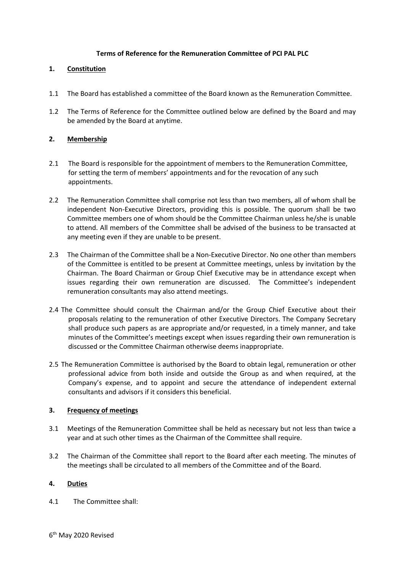## **Terms of Reference for the Remuneration Committee of PCI PAL PLC**

# **1. Constitution**

- 1.1 The Board has established a committee of the Board known as the Remuneration Committee.
- 1.2 The Terms of Reference for the Committee outlined below are defined by the Board and may be amended by the Board at anytime.

## **2. Membership**

- 2.1 The Board is responsible for the appointment of members to the Remuneration Committee, for setting the term of members' appointments and for the revocation of any such appointments.
- 2.2 The Remuneration Committee shall comprise not less than two members, all of whom shall be independent Non-Executive Directors, providing this is possible. The quorum shall be two Committee members one of whom should be the Committee Chairman unless he/she is unable to attend. All members of the Committee shall be advised of the business to be transacted at any meeting even if they are unable to be present.
- 2.3 The Chairman of the Committee shall be a Non-Executive Director. No one other than members of the Committee is entitled to be present at Committee meetings, unless by invitation by the Chairman. The Board Chairman or Group Chief Executive may be in attendance except when issues regarding their own remuneration are discussed. The Committee's independent remuneration consultants may also attend meetings.
- 2.4 The Committee should consult the Chairman and/or the Group Chief Executive about their proposals relating to the remuneration of other Executive Directors. The Company Secretary shall produce such papers as are appropriate and/or requested, in a timely manner, and take minutes of the Committee's meetings except when issues regarding their own remuneration is discussed or the Committee Chairman otherwise deems inappropriate.
- 2.5 The Remuneration Committee is authorised by the Board to obtain legal, remuneration or other professional advice from both inside and outside the Group as and when required, at the Company's expense, and to appoint and secure the attendance of independent external consultants and advisors if it considers this beneficial.

#### **3. Frequency of meetings**

- 3.1 Meetings of the Remuneration Committee shall be held as necessary but not less than twice a year and at such other times as the Chairman of the Committee shall require.
- 3.2 The Chairman of the Committee shall report to the Board after each meeting. The minutes of the meetings shall be circulated to all members of the Committee and of the Board.

#### **4. Duties**

4.1 The Committee shall: